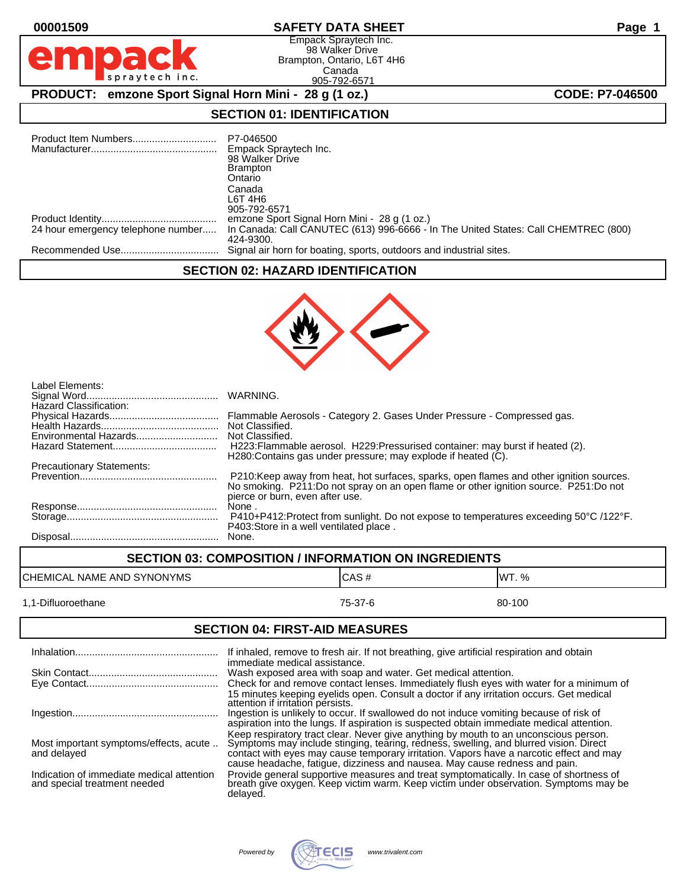Empack Spraytech Inc. 98 Walker Drive Brampton, Ontario, L6T 4H6 Canada 905-792-6571

# **PRODUCT:** emzone Sport Signal Horn Mini - 28 g (1 oz.) **CODE: P7-046500**

## **SECTION 01: IDENTIFICATION**

| 24 hour emergency telephone number | P7-046500<br>Empack Spraytech Inc.<br>98 Walker Drive<br><b>Brampton</b><br>Ontario<br>Canada<br>L6T 4H6<br>905-792-6571<br>emzone Sport Signal Horn Mini - 28 g (1 oz.)<br>In Canada: Call CANUTEC (613) 996-6666 - In The United States: Call CHEMTREC (800)<br>424-9300. |
|------------------------------------|-----------------------------------------------------------------------------------------------------------------------------------------------------------------------------------------------------------------------------------------------------------------------------|
|                                    | Signal air horn for boating, sports, outdoors and industrial sites.                                                                                                                                                                                                         |

#### **SECTION 02: HAZARD IDENTIFICATION**



| Label Elements:                  |                                                                                                                                                                                                                     |
|----------------------------------|---------------------------------------------------------------------------------------------------------------------------------------------------------------------------------------------------------------------|
| Hazard Classification:           |                                                                                                                                                                                                                     |
|                                  | Flammable Aerosols - Category 2. Gases Under Pressure - Compressed gas.                                                                                                                                             |
|                                  | Not Classified.                                                                                                                                                                                                     |
|                                  | Not Classified.                                                                                                                                                                                                     |
|                                  | H223: Flammable aerosol. H229: Pressurised container: may burst if heated (2).<br>H280: Contains gas under pressure; may explode if heated (C).                                                                     |
| <b>Precautionary Statements:</b> |                                                                                                                                                                                                                     |
|                                  | P210: Keep away from heat, hot surfaces, sparks, open flames and other ignition sources.<br>No smoking. P211:Do not spray on an open flame or other ignition source. P251:Do not<br>pierce or burn, even after use. |
|                                  | None.                                                                                                                                                                                                               |
|                                  | P410+P412:Protect from sunlight. Do not expose to temperatures exceeding 50°C /122°F.<br>P403: Store in a well ventilated place.                                                                                    |
|                                  | None.                                                                                                                                                                                                               |

| <b>SECTION 03: COMPOSITION / INFORMATION ON INGREDIENTS</b> |         |        |
|-------------------------------------------------------------|---------|--------|
| CHEMICAL NAME AND SYNONYMS                                  | ICAS#   | IWT. % |
| 1.1-Difluoroethane                                          | 75-37-6 | 80-100 |

### **SECTION 04: FIRST-AID MEASURES**

|                                                                           | If inhaled, remove to fresh air. If not breathing, give artificial respiration and obtain                                                                                                                                                                                                                                                              |
|---------------------------------------------------------------------------|--------------------------------------------------------------------------------------------------------------------------------------------------------------------------------------------------------------------------------------------------------------------------------------------------------------------------------------------------------|
|                                                                           | immediate medical assistance.<br>Wash exposed area with soap and water. Get medical attention.<br>Check for and remove contact lenses. Immediately flush eyes with water for a minimum of<br>15 minutes keeping eyelids open. Consult a doctor if any irritation occurs. Get medical<br>attention if irritation persists.                              |
|                                                                           | Ingestion is unlikely to occur. If swallowed do not induce vomiting because of risk of<br>aspiration into the lungs. If aspiration is suspected obtain immediate medical attention.                                                                                                                                                                    |
| Most important symptoms/effects, acute<br>and delayed                     | Keep respiratory tract clear. Never give anything by mouth to an unconscious person.<br>Symptoms may include stinging, tearing, redness, swelling, and blurred vision. Direct<br>contact with eyes may cause temporary irritation. Vapors have a narcotic effect and may<br>cause headache, fatigue, dizziness and nausea. May cause redness and pain. |
| Indication of immediate medical attention<br>and special treatment needed | Provide general supportive measures and treat symptomatically. In case of shortness of breath give oxygen. Keep victim warm. Keep victim under observation. Symptoms may be<br>delaved.                                                                                                                                                                |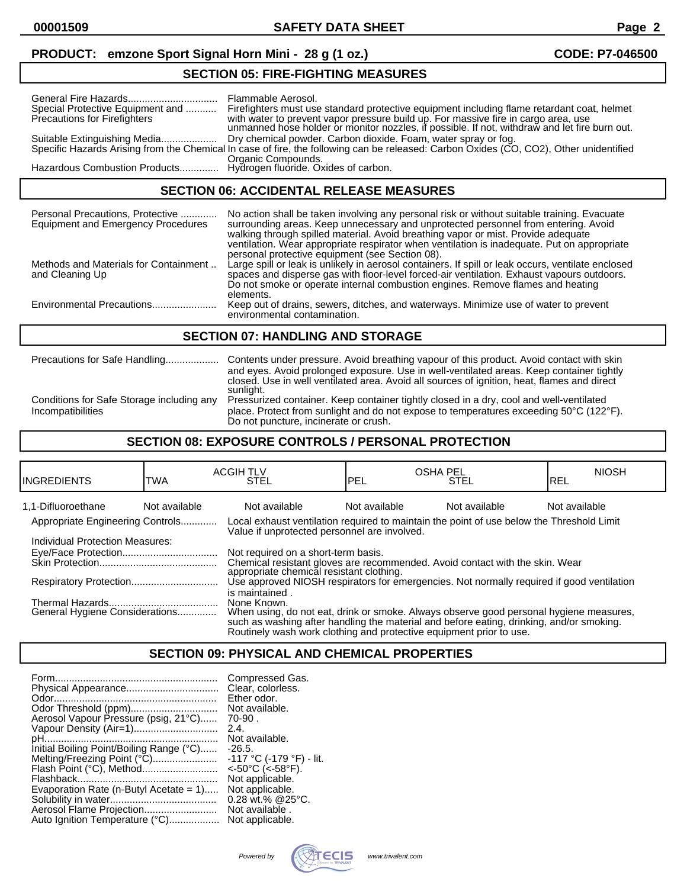#### **PRODUCT: emzone Sport Signal Horn Mini - 28 g (1 oz.) CODE: P7-046500**

#### General Fire Hazards................................ Flammable Aerosol. Special Protective Equipment and ........... Firefighters must use standard protective equipment including flame retardant coat, helmet Precautions for Firefighters with water to prevent vapor pressure build up. For massiv Precautions for Firefighters with water to prevent vapor pressure build up. For massive fire in cargo area, use unmanned hose holder or monitor nozzles, if possible. If not, withdraw and let fire burn out. Suitable Extinguishing Media.................... Dry chemical powder. Carbon dioxide. Foam, water spray or fog. Specific Hazards Arising from the Chemical In case of fire, the following can be released: Carbon Oxides (CO, CO2), Other unidentified Organic Compounds.<br>Hydrogen fluoride. Oxides of carbon. Hazardous Combustion Products..............

### **SECTION 06: ACCIDENTAL RELEASE MEASURES**

**SECTION 05: FIRE-FIGHTING MEASURES**

| Personal Precautions, Protective<br><b>Equipment and Emergency Procedures</b> | No action shall be taken involving any personal risk or without suitable training. Evacuate<br>surrounding areas. Keep unnecessary and unprotected personnel from entering. Avoid<br>walking through spilled material. Avoid breathing vapor or mist. Provide adequate<br>ventilation. Wear appropriate respirator when ventilation is inadequate. Put on appropriate<br>personal protective equipment (see Section 08). |  |
|-------------------------------------------------------------------------------|--------------------------------------------------------------------------------------------------------------------------------------------------------------------------------------------------------------------------------------------------------------------------------------------------------------------------------------------------------------------------------------------------------------------------|--|
| Methods and Materials for Containment<br>and Cleaning Up                      | Large spill or leak is unlikely in aerosol containers. If spill or leak occurs, ventilate enclosed<br>spaces and disperse gas with floor-level forced-air ventilation. Exhaust vapours outdoors.<br>Do not smoke or operate internal combustion engines. Remove flames and heating<br>elements.                                                                                                                          |  |
| Environmental Precautions                                                     | Keep out of drains, sewers, ditches, and waterways. Minimize use of water to prevent<br>environmental contamination.                                                                                                                                                                                                                                                                                                     |  |
| <b>SECTION 07: HANDLING AND STORAGE</b>                                       |                                                                                                                                                                                                                                                                                                                                                                                                                          |  |
| Precautions for Safe Handling                                                 | Contents under pressure. Avoid breathing vapour of this product. Avoid contact with skin                                                                                                                                                                                                                                                                                                                                 |  |

and eyes. Avoid prolonged exposure. Use in well-ventilated areas. Keep container tightly closed. Use in well ventilated area. Avoid all sources of ignition, heat, flames and direct sunlight.

Conditions for Safe Storage including any Pressurized container. Keep container tightly closed in a dry, cool and well-ventilated<br>place. Protect from sunlight and do not expose to temperatures exceeding 50°C (122° place. Protect from sunlight and do not expose to temperatures exceeding 50°C (122°F). Do not puncture, incinerate or crush.

## **SECTION 08: EXPOSURE CONTROLS / PERSONAL PROTECTION**

| IINGREDIENTS                     | TWA           | <b>ACGIH TLV</b><br>STEL                                                                                                                  | IPEL          | <b>OSHA PEL</b><br><b>STEL</b> | <b>NIOSH</b><br>IREL |
|----------------------------------|---------------|-------------------------------------------------------------------------------------------------------------------------------------------|---------------|--------------------------------|----------------------|
| 1.1-Difluoroethane               | Not available | Not available                                                                                                                             | Not available | Not available                  | Not available        |
| Appropriate Engineering Controls |               | Local exhaust ventilation required to maintain the point of use below the Threshold Limit<br>Value if unprotected personnel are involved. |               |                                |                      |
| Individual Protection Measures:  |               |                                                                                                                                           |               |                                |                      |
|                                  |               | Not required on a short-term basis.                                                                                                       |               |                                |                      |
|                                  |               | Chemical resistant gloves are recommended. Avoid contact with the skin. Wear                                                              |               |                                |                      |
|                                  |               | appropriate chemical resistant clothing.<br>Use approved NIOSH respirators for emergencies. Not normally required if good ventilation     |               |                                |                      |
|                                  |               | is maintained.                                                                                                                            |               |                                |                      |
|                                  |               | None Known.                                                                                                                               |               |                                |                      |
| General Hygiene Considerations   |               | When using, do not eat, drink or smoke. Always observe good personal hygiene measures,                                                    |               |                                |                      |
|                                  |               | such as washing after handling the material and before eating, drinking, and/or smoking.                                                  |               |                                |                      |
|                                  |               | Routinely wash work clothing and protective equipment prior to use.                                                                       |               |                                |                      |

### **SECTION 09: PHYSICAL AND CHEMICAL PROPERTIES**

| Form.                                     | Compressed Gas.          |
|-------------------------------------------|--------------------------|
| Physical Appearance                       | Clear, colorless.        |
|                                           | Ether odor.              |
|                                           | Not available.           |
| Aerosol Vapour Pressure (psig, 21°C)      | $70-90$ .                |
| Vapour Density (Air=1)                    | 2.4.                     |
|                                           | Not available.           |
| Initial Boiling Point/Boiling Range (°C)  | $-26.5$                  |
| Melting/Freezing Point (°C)               | -117 °C (-179 °F) - lit. |
|                                           | $<$ -50°C ( $<$ -58°F).  |
|                                           | Not applicable.          |
| Evaporation Rate (n-Butyl Acetate $= 1$ ) | Not applicable.          |
|                                           | 0.28 wt.% @25°C.         |
|                                           | Not available.           |
| Auto Ignition Temperature (°C)            | Not applicable.          |

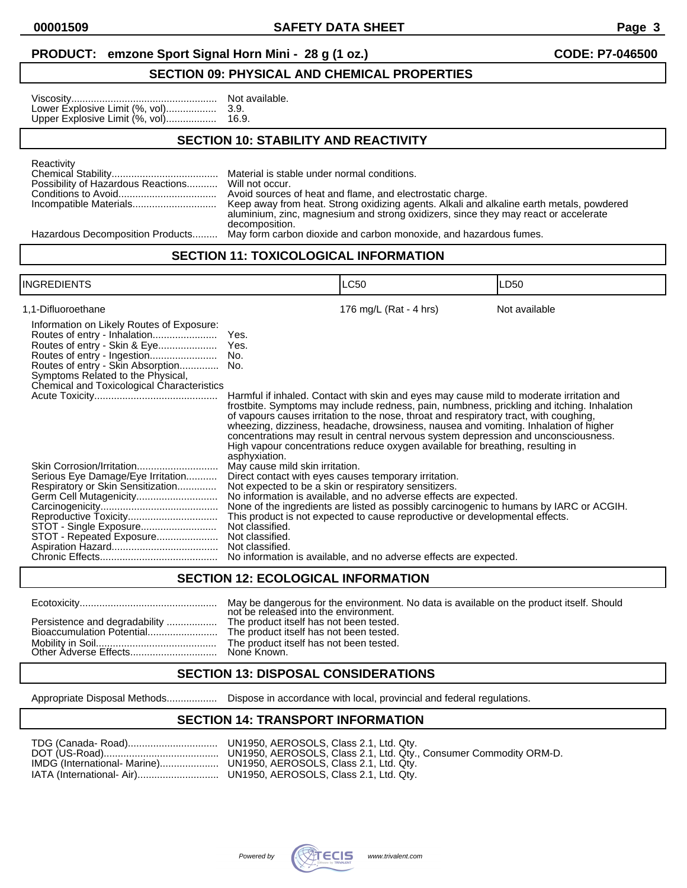#### **PRODUCT:** emzone Sport Signal Horn Mini - 28 g (1 oz.) **CODE: P7-046500**

#### **SECTION 09: PHYSICAL AND CHEMICAL PROPERTIES**

| Not available. |
|----------------|
|                |
|                |

#### **SECTION 10: STABILITY AND REACTIVITY**

| Reactivity                                         |                                                                                          |
|----------------------------------------------------|------------------------------------------------------------------------------------------|
|                                                    | Material is stable under normal conditions.                                              |
| Possibility of Hazardous Reactions Will not occur. |                                                                                          |
|                                                    | Avoid sources of heat and flame, and electrostatic charge.                               |
|                                                    | Keep away from heat. Strong oxidizing agents. Alkali and alkaline earth metals, powdered |
|                                                    | aluminium, zinc, magnesium and strong oxidizers, since they may react or accelerate      |
|                                                    | decomposition.                                                                           |

Hazardous Decomposition Products......... May form carbon dioxide and carbon monoxide, and hazardous fumes.

#### **SECTION 11: TOXICOLOGICAL INFORMATION**

|                                                                                                                                                                                     |                                                                                          | LC50                                                                                                                                                                                                                                                                                                                                                                                                                                                                                                                                              | LD50          |
|-------------------------------------------------------------------------------------------------------------------------------------------------------------------------------------|------------------------------------------------------------------------------------------|---------------------------------------------------------------------------------------------------------------------------------------------------------------------------------------------------------------------------------------------------------------------------------------------------------------------------------------------------------------------------------------------------------------------------------------------------------------------------------------------------------------------------------------------------|---------------|
| 1,1-Difluoroethane<br>Information on Likely Routes of Exposure:                                                                                                                     | Yes.                                                                                     | 176 mg/L (Rat - 4 hrs)                                                                                                                                                                                                                                                                                                                                                                                                                                                                                                                            | Not available |
| Routes of entry - Skin & Eye<br>Routes of entry - Skin Absorption<br>Symptoms Related to the Physical,                                                                              | Yes.<br>No.<br>No.                                                                       |                                                                                                                                                                                                                                                                                                                                                                                                                                                                                                                                                   |               |
| Chemical and Toxicological Characteristics                                                                                                                                          | asphyxiation.                                                                            | Harmful if inhaled. Contact with skin and eyes may cause mild to moderate irritation and<br>frostbite. Symptoms may include redness, pain, numbness, prickling and itching. Inhalation<br>of vapours causes irritation to the nose, throat and respiratory tract, with coughing,<br>wheezing, dizziness, headache, drowsiness, nausea and vomiting. Inhalation of higher<br>concentrations may result in central nervous system depression and unconsciousness.<br>High vapour concentrations reduce oxygen available for breathing, resulting in |               |
| Skin Corrosion/Irritation<br>Serious Eye Damage/Eye Irritation<br>Respiratory or Skin Sensitization<br>Germ Cell Mutagenicity<br>STOT - Single Exposure<br>STOT - Repeated Exposure | May cause mild skin irritation.<br>Not classified.<br>Not classified.<br>Not classified. | Direct contact with eyes causes temporary irritation.<br>Not expected to be a skin or respiratory sensitizers.<br>No information is available, and no adverse effects are expected.<br>None of the ingredients are listed as possibly carcinogenic to humans by IARC or ACGIH.<br>This product is not expected to cause reproductive or developmental effects.<br>No information is available, and no adverse effects are expected.                                                                                                               |               |

#### **SECTION 12: ECOLOGICAL INFORMATION**

|                               | May be dangerous for the environment. No data is available on the product itself. Should<br>not be released into the environment. |
|-------------------------------|-----------------------------------------------------------------------------------------------------------------------------------|
| Persistence and degradability | The product itself has not been tested.<br>The product itself has not been tested.<br>The product itself has not been tested.     |

#### **SECTION 13: DISPOSAL CONSIDERATIONS**

Appropriate Disposal Methods.................. Dispose in accordance with local, provincial and federal regulations.

#### **SECTION 14: TRANSPORT INFORMATION**

|                              | TDG (Canada- Road)    UN1950, AEROSOLS, Class 2.1, Ltd. Qtv.      |
|------------------------------|-------------------------------------------------------------------|
|                              | UN1950, AEROSOLS, Class 2.1, Ltd. Qty., Consumer Commodity ORM-D. |
| IMDG (International- Marine) | UN1950, AEROSOLS, Class 2.1, Ltd. Qty.                            |
| IATA (International- Air).   | HN1950 AFROSOLS Class 2.1 Hd Otv                                  |